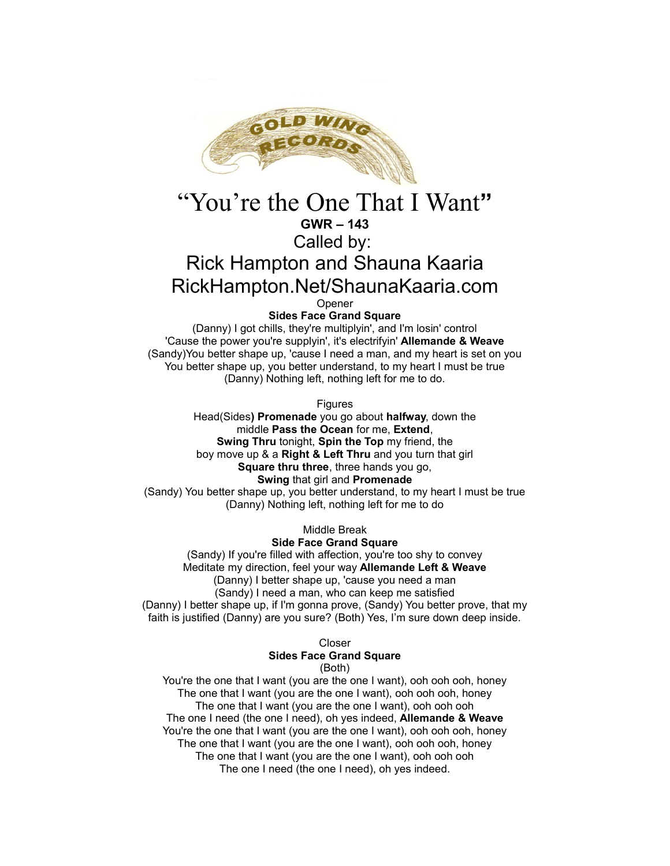

## "You're the One That I Want**" GWR – 143** Called by: Rick Hampton and Shauna Kaaria RickHampton.Net/ShaunaKaaria.com

Opener

**Sides Face Grand Square**

(Danny) I got chills, they're multiplyin', and I'm losin' control 'Cause the power you're supplyin', it's electrifyin' **Allemande & Weave** (Sandy)You better shape up, 'cause I need a man, and my heart is set on you You better shape up, you better understand, to my heart I must be true (Danny) Nothing left, nothing left for me to do.

**Figures** 

Head(Sides**) Promenade** you go about **halfway**, down the middle **Pass the Ocean** for me, **Extend**, **Swing Thru** tonight, **Spin the Top** my friend, the boy move up & a **Right & Left Thru** and you turn that girl **Square thru three**, three hands you go, **Swing** that girl and **Promenade** (Sandy) You better shape up, you better understand, to my heart I must be true (Danny) Nothing left, nothing left for me to do

Middle Break

**Side Face Grand Square**

(Sandy) If you're filled with affection, you're too shy to convey Meditate my direction, feel your way **Allemande Left & Weave** (Danny) I better shape up, 'cause you need a man (Sandy) I need a man, who can keep me satisfied (Danny) I better shape up, if I'm gonna prove, (Sandy) You better prove, that my faith is justified (Danny) are you sure? (Both) Yes, I'm sure down deep inside.

Closer

**Sides Face Grand Square**

(Both) You're the one that I want (you are the one I want), ooh ooh ooh, honey The one that I want (you are the one I want), ooh ooh ooh, honey The one that I want (you are the one I want), ooh ooh ooh The one I need (the one I need), oh yes indeed, **Allemande & Weave** You're the one that I want (you are the one I want), ooh ooh ooh, honey The one that I want (you are the one I want), ooh ooh ooh, honey The one that I want (you are the one I want), ooh ooh ooh The one I need (the one I need), oh yes indeed.